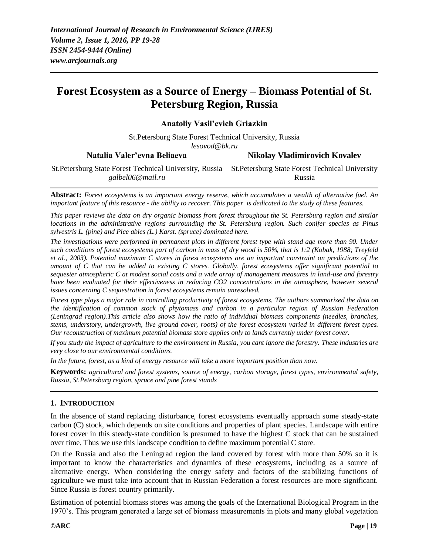# **Forest Ecosystem as a Source of Energy – Biomass Potential of St. Petersburg Region, Russia**

**Anatoliy Vasil'evich Griazkin**

St.Petersburg State Forest Technical University, Russia *lesovod@bk.ru* **Natalia Valer'evna Beliaeva** St.Petersburg State Forest Technical University, Russia St.Petersburg State Forest Technical University *galbel06@mail.ru* **Nikolay Vladimirovich Kovalev** Russia

**Abstract:** *Forest ecosystems is an important energy reserve, which accumulates a wealth of alternative fuel. An important feature of this resource - the ability to recover. This paper is dedicated to the study of these features.*

*This paper reviews the data on dry organic biomass from forest throughout the St. Petersburg region and similar locations in the administrative regions surrounding the St. Petersburg region. Such conifer species as Pinus sylvestris L. (pine) and Pice abies (L.) Karst. (spruce) dominated here.*

*The investigations were performed in permanent plots in different forest type with stand age more than 90. Under such conditions of forest ecosystems part of carbon in mass of dry wood is 50%, that is 1:2 (Kobak, 1988; Treyfeld et al., 2003). Potential maximum C stores in forest ecosystems are an important constraint on predictions of the amount of C that can be added to existing C stores. Globally, forest ecosystems offer significant potential to sequester atmospheric C at modest social costs and a wide array of management measures in land-use and forestry have been evaluated for their effectiveness in reducing CO2 concentrations in the atmosphere, however several issues concerning C sequestration in forest ecosystems remain unresolved.*

*Forest type plays a major role in controlling productivity of forest ecosystems. The authors summarized the data on the identification of common stock of phytomass and carbon in a particular region of Russian Federation (Leningrad region).This article also shows how the ratio of individual biomass components (needles, branches, stems, understory, undergrowth, live ground cover, roots) of the forest ecosystem varied in different forest types. Our reconstruction of maximum potential biomass store applies only to lands currently under forest cover.*

*If you study the impact of agriculture to the environment in Russia, you cant ignore the forestry. These industries are very close to our environmental conditions.*

*In the future, forest, as a kind of energy resource will take a more important position than now.*

**Keywords:** *agricultural and forest systems, source of energy, carbon storage, forest types, environmental safety, Russia, St.Petersburg region, spruce and pine forest stands*

### **1. INTRODUCTION**

In the absence of stand replacing disturbance, forest ecosystems eventually approach some steady-state carbon (C) stock, which depends on site conditions and properties of plant species. Landscape with entire forest cover in this steady-state condition is presumed to have the highest C stock that can be sustained over time. Thus we use this landscape condition to define maximum potential C store.

On the Russia and also the Leningrad region the land covered by forest with more than 50% so it is important to know the characteristics and dynamics of these ecosystems, including as a source of alternative energy. When considering the energy safety and factors of the stabilizing functions of agriculture we must take into account that in Russian Federation a forest resources are more significant. Since Russia is forest country primarily.

Estimation of potential biomass stores was among the goals of the International Biological Program in the 1970's. This program generated a large set of biomass measurements in plots and many global vegetation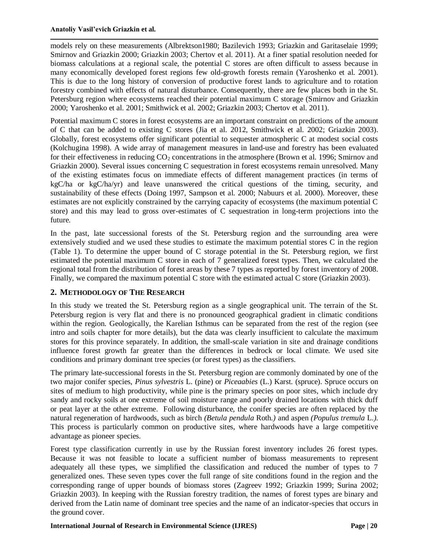models rely on these measurements (Albrektson1980; Bazilevich 1993; Griazkin and Garitaselaie 1999; Smirnov and Griazkin 2000; Griazkin 2003; Chertov et al. 2011). At a finer spatial resolution needed for biomass calculations at a regional scale, the potential C stores are often difficult to assess because in many economically developed forest regions few old-growth forests remain (Yaroshenko et al. 2001). This is due to the long history of conversion of productive forest lands to agriculture and to rotation forestry combined with effects of natural disturbance. Consequently, there are few places both in the St. Petersburg region where ecosystems reached their potential maximum C storage (Smirnov and Griazkin 2000; Yaroshenko et al. 2001; Smithwick et al. 2002; Griazkin 2003; Chertov et al. 2011).

Potential maximum C stores in forest ecosystems are an important constraint on predictions of the amount of C that can be added to existing C stores (Jia et al. 2012, Smithwick et al. 2002; Griazkin 2003). Globally, forest ecosystems offer significant potential to sequester atmospheric C at modest social costs (Kolchugina 1998). A wide array of management measures in land-use and forestry has been evaluated for their effectiveness in reducing  $CO<sub>2</sub>$  concentrations in the atmosphere (Brown et al. 1996; Smirnov and Griazkin 2000). Several issues concerning C sequestration in forest ecosystems remain unresolved. Many of the existing estimates focus on immediate effects of different management practices (in terms of kgC/ha or kgC/ha/yr) and leave unanswered the critical questions of the timing, security, and sustainability of these effects (Doing 1997, Sampson et al. 2000; Nabuurs et al. 2000). Moreover, these estimates are not explicitly constrained by the carrying capacity of ecosystems (the maximum potential C store) and this may lead to gross over-estimates of C sequestration in long-term projections into the future.

In the past, late successional forests of the St. Petersburg region and the surrounding area were extensively studied and we used these studies to estimate the maximum potential stores C in the region (Table 1). To determine the upper bound of C storage potential in the St. Petersburg region, we first estimated the potential maximum C store in each of 7 generalized forest types. Then, we calculated the regional total from the distribution of forest areas by these 7 types as reported by forest inventory of 2008. Finally, we compared the maximum potential C store with the estimated actual C store (Griazkin 2003).

### **2. METHODOLOGY OF THE RESEARCH**

In this study we treated the St. Petersburg region as a single geographical unit. The terrain of the St. Petersburg region is very flat and there is no pronounced geographical gradient in climatic conditions within the region. Geologically, the Karelian Isthmus can be separated from the rest of the region (see intro and soils chapter for more details), but the data was clearly insufficient to calculate the maximum stores for this province separately. In addition, the small-scale variation in site and drainage conditions influence forest growth far greater than the differences in bedrock or local climate. We used site conditions and primary dominant tree species (or forest types) as the classifiers.

The primary late-successional forests in the St. Petersburg region are commonly dominated by one of the two major conifer species, *Pinus sylvestris* L. (pine) or *Piceaabies* (L.) Karst. (spruce). Spruce occurs on sites of medium to high productivity, while pine is the primary species on poor sites, which include dry sandy and rocky soils at one extreme of soil moisture range and poorly drained locations with thick duff or peat layer at the other extreme. Following disturbance, the conifer species are often replaced by the natural regeneration of hardwoods, such as birch *(Betula pendula* Roth.*)* and aspen *(Populus tremula* L.*).* This process is particularly common on productive sites, where hardwoods have a large competitive advantage as pioneer species.

Forest type classification currently in use by the Russian forest inventory includes 26 forest types. Because it was not feasible to locate a sufficient number of biomass measurements to represent adequately all these types, we simplified the classification and reduced the number of types to 7 generalized ones. These seven types cover the full range of site conditions found in the region and the corresponding range of upper bounds of biomass stores (Zagreev 1992; Griazkin 1999; Surina 2002; Griazkin 2003). In keeping with the Russian forestry tradition, the names of forest types are binary and derived from the Latin name of dominant tree species and the name of an indicator-species that occurs in the ground cover.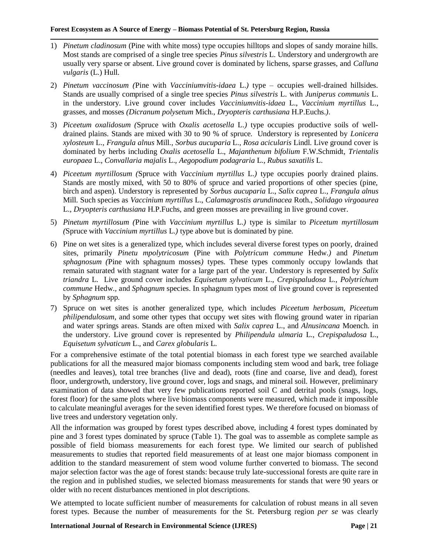- 1) *Pinetum cladinosum* (Pine with white moss) type occupies hilltops and slopes of sandy moraine hills. Most stands are comprised of a single tree species *Pinus silvestris* L. Understory and undergrowth are usually very sparse or absent. Live ground cover is dominated by lichens, sparse grasses, and *Calluna vulgaris* (L.) Hull.
- 2) *Pinetum vaccinosum (*Pine with *Vacciniumvitis-idaea* L.*)* type occupies well-drained hillsides. Stands are usually comprised of a single tree species *Pinus silvestris* L. with *Juniperus communis* L. in the understory. Live ground cover includes *Vacciniumvitis-idaea* L., *Vaccinium myrtillus* L., grasses, and mosses *(Dicranum polysetum* Mich., *Dryopteris carthusiana* H.P.Euchs.*).*
- 3) *Piceetum oxalidosum (*Spruce with *Oxalis acetosella* L.*)* type occupies productive soils of welldrained plains. Stands are mixed with 30 to 90 % of spruce. Understory is represented by *Lonicera xylosteum* L., *Frangula alnus* Mill., *Sorbus aucuparia* L., *Rosa acicularis* Lindl. Live ground cover is dominated by herbs including *Oxalis acetosella* L., *Majanthenum bifolium* F.W.Schmidt, *Trientalis europaea* L., *Convallaria majalis* L., *Aegopodium podagraria* L., *Rubus saxatilis* L.
- 4) *Piceetum myrtillosum (*Spruce with *Vaccinium myrtillus* L.*)* type occupies poorly drained plains. Stands are mostly mixed, with 50 to 80% of spruce and varied proportions of other species (pine, birch and aspen). Understory is represented by *Sorbus aucuparia* L., *Salix caprea* L., *Frangula alnus* Mill. Such species as *Vaccinium myrtillus* L., *Calamagrostis arundinacea* Roth., *Solidago virgoaurea* L., *Dryopteris carthusiana* H.P.Fuchs, and green mosses are prevailing in live ground cover.
- 5) *Pinetum myrtillosum (*Pine with *Vaccinium myrtillus* L.*)* type is similar to *Piceetum myrtillosum (*Spruce with *Vaccinium myrtillus* L.*)* type above but is dominated by pine.
- 6) Pine on wet sites is a generalized type, which includes several diverse forest types on poorly, drained sites, primarily *Pinetu mpolytricosum* (Pine with *Polytricum commune* Hedw.*)* and *Pinetum sphagnosum (*Pine with sphagnum mosses*)* types. These types commonly occupy lowlands that remain saturated with stagnant water for a large part of the year. Understory is represented by *Salix triandra* L. Live ground cover includes *Equisetum sylvaticum* L., *Crepispaludosa* L., *Polytrichum commune* Hedw., and *Sphagnum* species. In sphagnum types most of live ground cover is represented by *Sphagnum* spp.
- 7) Spruce on wet sites is another generalized type, which includes *Piceetum herbosum*, *Piceetum philipendulosum*, and some other types that occupy wet sites with flowing ground water in riparian and water springs areas. Stands are often mixed with *Salix caprea* L., and *Alnusincana* Moench. in the understory. Live ground cover is represented by *Philipendula ulmaria* L., *Crepispaludosa* L., *Equisetum sylvaticum* L., and *Carex globularis* L.

For a comprehensive estimate of the total potential biomass in each forest type we searched available publications for all the measured major biomass components including stem wood and bark, tree foliage (needles and leaves), total tree branches (live and dead), roots (fine and coarse, live and dead), forest floor, undergrowth, understory, live ground cover, logs and snags, and mineral soil. However, preliminary examination of data showed that very few publications reported soil C and detrital pools (snags, logs, forest floor) for the same plots where live biomass components were measured, which made it impossible to calculate meaningful averages for the seven identified forest types. We therefore focused on biomass of live trees and understory vegetation only.

All the information was grouped by forest types described above, including 4 forest types dominated by pine and 3 forest types dominated by spruce (Table 1). The goal was to assemble as complete sample as possible of field biomass measurements for each forest type. We limited our search of published measurements to studies that reported field measurements of at least one major biomass component in addition to the standard measurement of stem wood volume further converted to biomass. The second major selection factor was the age of forest stands: because truly late-successional forests are quite rare in the region and in published studies, we selected biomass measurements for stands that were 90 years or older with no recent disturbances mentioned in plot descriptions.

We attempted to locate sufficient number of measurements for calculation of robust means in all seven forest types. Because the number of measurements for the St. Petersburg region *per se* was clearly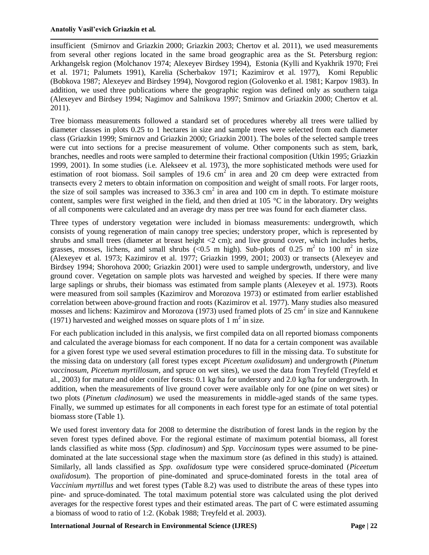insufficient (Smirnov and Griazkin 2000; Griazkin 2003; Chertov et al. 2011), we used measurements from several other regions located in the same broad geographic area as the St. Petersburg region: Arkhangelsk region (Molchanov 1974; Alexeyev Birdsey 1994), Estonia (Kylli and Kyakhrik 1970; Frei et al. 1971; Palumets 1991), Karelia (Scherbakov 1971; Kazimirov et al. 1977), Komi Republic (Bobkova 1987; Alexeyev and Birdsey 1994), Novgorod region (Golovenko et al. 1981; Karpov 1983). In addition, we used three publications where the geographic region was defined only as southern taiga (Alexeyev and Birdsey 1994; Nagimov and Salnikova 1997; Smirnov and Griazkin 2000; Chertov et al. 2011).

Tree biomass measurements followed a standard set of procedures whereby all trees were tallied by diameter classes in plots 0.25 to 1 hectares in size and sample trees were selected from each diameter class (Griazkin 1999; Smirnov and Griazkin 2000; Griazkin 2001). The boles of the selected sample trees were cut into sections for a precise measurement of volume. Other components such as stem, bark, branches, needles and roots were sampled to determine their fractional composition (Utkin 1995; Griazkin 1999, 2001). In some studies (i.e. Alekseev et al. 1973), the more sophisticated methods were used for estimation of root biomass. Soil samples of 19.6 cm<sup>2</sup> in area and  $20$  cm deep were extracted from transects every 2 meters to obtain information on composition and weight of small roots. For larger roots, the size of soil samples was increased to  $336.3 \text{ cm}^2$  in area and 100 cm in depth. To estimate moisture content, samples were first weighed in the field, and then dried at 105 °C in the laboratory. Dry weights of all components were calculated and an average dry mass per tree was found for each diameter class.

Three types of understory vegetation were included in biomass measurements: undergrowth, which consists of young regeneration of main canopy tree species; understory proper, which is represented by shrubs and small trees (diameter at breast height <2 cm); and live ground cover, which includes herbs, grasses, mosses, lichens, and small shrubs (<0.5 m high). Sub-plots of 0.25 m<sup>2</sup> to 100 m<sup>2</sup> in size (Alexeyev et al. 1973; Kazimirov et al. 1977; Griazkin 1999, 2001; 2003) or transects (Alexeyev and Birdsey 1994; Shorohova 2000; Griazkin 2001) were used to sample undergrowth, understory, and live ground cover. Vegetation on sample plots was harvested and weighed by species. If there were many large saplings or shrubs, their biomass was estimated from sample plants (Alexeyev et al. 1973). Roots were measured from soil samples (Kazimirov and Morozova 1973) or estimated from earlier established correlation between above-ground fraction and roots (Kazimirov et al. 1977). Many studies also measured mosses and lichens: Kazimirov and Morozova (1973) used framed plots of 25 cm<sup>2</sup> in size and Kannukene (1971) harvested and weighed mosses on square plots of 1  $m<sup>2</sup>$  in size.

For each publication included in this analysis, we first compiled data on all reported biomass components and calculated the average biomass for each component. If no data for a certain component was available for a given forest type we used several estimation procedures to fill in the missing data. To substitute for the missing data on understory (all forest types except *Piceetum oxalidosum*) and undergrowth (*Pinetum vaccinosum*, *Piceetum myrtillosum*, and spruce on wet sites), we used the data from Treyfeld (Treyfeld et al., 2003) for mature and older conifer forests: 0.1 kg/ha for understory and 2.0 kg/ha for undergrowth. In addition, when the measurements of live ground cover were available only for one (pine on wet sites) or two plots (*Pinetum cladinosum*) we used the measurements in middle-aged stands of the same types. Finally, we summed up estimates for all components in each forest type for an estimate of total potential biomass store (Table 1).

We used forest inventory data for 2008 to determine the distribution of forest lands in the region by the seven forest types defined above. For the regional estimate of maximum potential biomass, all forest lands classified as white moss (*Spp. cladinosum*) and *Spp. Vaccinosum* types were assumed to be pinedominated at the late successional stage when the maximum store (as defined in this study) is attained. Similarly, all lands classified as *Spp. oxalidosum* type were considered spruce-dominated (*Piceetum oxalidosum*). The proportion of pine-dominated and spruce-dominated forests in the total area of *Vaccinium myrtillus* and wet forest types (Table 8.2) was used to distribute the areas of these types into pine- and spruce-dominated. The total maximum potential store was calculated using the plot derived averages for the respective forest types and their estimated areas. The part of C were estimated assuming a biomass of wood to ratio of 1:2. (Kobak 1988; Treyfeld et al. 2003).

**International Journal of Research in Environmental Science (IJRES) Page | 22**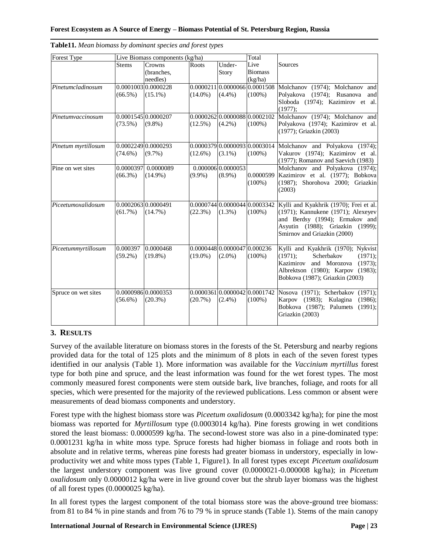| Forest Type         | Live Biomass components (kg/ha)   |                                   |            |                                           | Total                                       |                                                                                                                                                                                           |  |  |
|---------------------|-----------------------------------|-----------------------------------|------------|-------------------------------------------|---------------------------------------------|-------------------------------------------------------------------------------------------------------------------------------------------------------------------------------------------|--|--|
|                     | <b>Stems</b>                      | Crowns<br>(branches,<br>needles)  | Roots      | Under-<br>Story                           | Live<br><b>Biomass</b><br>(kg/ha)           | Sources                                                                                                                                                                                   |  |  |
| Pinetumcladinosum   | $(66.5\%)$                        | 0.0001003 0.0000228<br>$(15.1\%)$ | $(14.0\%)$ | $(4.4\%)$                                 | [0.0000211]0.0000066]0.0001508<br>$(100\%)$ | Molchanov (1974); Molchanov and<br>Polyakova (1974); Rusanova<br>and<br>Sloboda (1974); Kazimirov et al.<br>$(1977)$ ;                                                                    |  |  |
| Pinetumvaccinosum   | $(73.5\%)$                        | 0.0001545 0.0000207<br>$(9.8\%)$  | $(12.5\%)$ | $(4.2\%)$                                 | 0.0000262 0.0000088 0.0002102<br>$(100\%)$  | Molchanov (1974); Molchanov and<br>Polyakova (1974); Kazimirov et al.<br>(1977); Griazkin (2003)                                                                                          |  |  |
| Pinetum myrtillosum | $(74.6\%)$                        | 0.0002249 0.0000293<br>$(9.7\%)$  | $(12.6\%)$ | $(3.1\%)$                                 | $(100\%)$                                   | 0.0000379 0.0000093 0.0003014 Molchanov and Polyakova (1974);<br>Vakurov (1974); Kazimirov et al.<br>$(1977)$ ; Romanov and Saevich $(1983)$                                              |  |  |
| Pine on wet sites   | $(66.3\%)$                        | 0.0000397 0.0000089<br>$(14.9\%)$ | $(9.9\%)$  | 0.000006 0.0000053<br>$(8.9\%)$           | 0.0000599<br>$(100\%)$                      | Molchanov and Polyakova (1974);<br>Kazimirov et al. (1977); Bobkova<br>(1987); Shorohova 2000; Griazkin<br>(2003)                                                                         |  |  |
| Piceetumoxalidosum  | 0.0002063 0.0000491<br>$(61.7\%)$ | $(14.7\%)$                        | (22.3%)    | $(1.3\%)$                                 | 0.0000744 0.0000044 0.0003342<br>$(100\%)$  | Kylli and Kyakhrik (1970); Frei et al.<br>(1971); Kannukene (1971); Alexeyev<br>and Berdsy (1994); Ermakov and<br>Asyutin (1988); Griazkin (1999);<br>Smirnov and Griazkin (2000)         |  |  |
| Piceetummyrtillosum | 0.000397<br>$(59.2\%)$            | 0.0000468<br>$(19.8\%)$           | $(19.0\%)$ | 0.0000448 0.0000047 0.000236<br>$(2.0\%)$ | $(100\%)$                                   | Kylli and Kyakhrik (1970); Nykvist<br>(1971);<br>Scherbakov<br>$(1971)$ ;<br>Kazimirov<br>and Morozova<br>(1973);<br>Albrektson (1980); Karpov (1983);<br>Bobkova (1987); Griazkin (2003) |  |  |
| Spruce on wet sites | $(56.6\%)$                        | 0.0000986 0.0000353<br>$(20.3\%)$ | (20.7%)    | $(2.4\%)$                                 | 0.0000361 0.0000042 0.0001742<br>$(100\%)$  | Nosova (1971); Scherbakov (1971);<br>Karpov<br>(1983); Kulagina<br>(1986):<br>Bobkova (1987); Palumets<br>(1991):<br>Griazkin (2003)                                                      |  |  |

| Table11. Mean biomass by dominant species and forest types |  |  |  |  |  |
|------------------------------------------------------------|--|--|--|--|--|
|------------------------------------------------------------|--|--|--|--|--|

# **3. RESULTS**

Survey of the available literature on biomass stores in the forests of the St. Petersburg and nearby regions provided data for the total of 125 plots and the minimum of 8 plots in each of the seven forest types identified in our analysis (Table 1). More information was available for the *Vaccinium myrtillus* forest type for both pine and spruce, and the least information was found for the wet forest types. The most commonly measured forest components were stem outside bark, live branches, foliage, and roots for all species, which were presented for the majority of the reviewed publications. Less common or absent were measurements of dead biomass components and understory.

Forest type with the highest biomass store was *Piceetum oxalidosum* (0.0003342 kg/ha); for pine the most biomass was reported for *Myrtillosum* type (0.0003014 kg/ha). Pine forests growing in wet conditions stored the least biomass: 0.0000599 kg/ha. The second-lowest store was also in a pine-dominated type: 0.0001231 kg/ha in white moss type. Spruce forests had higher biomass in foliage and roots both in absolute and in relative terms, whereas pine forests had greater biomass in understory, especially in lowproductivity wet and white moss types (Table 1, Figure1). In all forest types except *Piceetum oxalidosum* the largest understory component was live ground cover (0.0000021-0.000008 kg/ha); in *Piceetum oxalidosum* only 0.0000012 kg/ha were in live ground cover but the shrub layer biomass was the highest of all forest types (0.0000025 kg/ha).

In all forest types the largest component of the total biomass store was the above-ground tree biomass: from 81 to 84 % in pine stands and from 76 to 79 % in spruce stands (Table 1). Stems of the main canopy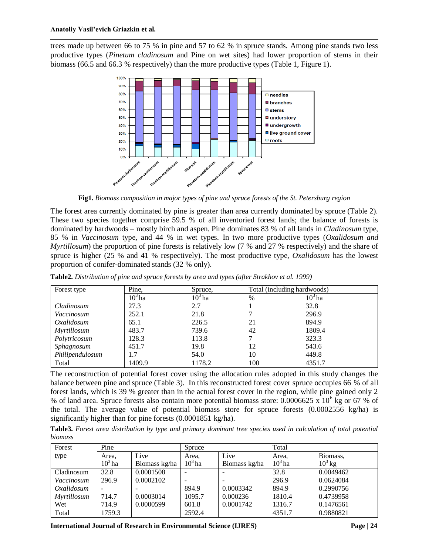trees made up between 66 to 75 % in pine and 57 to 62 % in spruce stands. Among pine stands two less productive types (*Pinetum cladinosum* and Pine on wet sites) had lower proportion of stems in their biomass (66.5 and 66.3 % respectively) than the more productive types (Table 1, Figure 1).



**Fig1.** *Biomass composition in major types of pine and spruce forests of the St. Petersburg region*

The forest area currently dominated by pine is greater than area currently dominated by spruce (Table 2). These two species together comprise 59.5 % of all inventoried forest lands; the balance of forests is dominated by hardwoods – mostly birch and aspen. Pine dominates 83 % of all lands in *Cladinosum* type, 85 % in *Vaccinosum* type, and 44 % in wet types. In two more productive types (*Oxalidosum and Myrtillosum*) the proportion of pine forests is relatively low (7 % and 27 % respectively) and the share of spruce is higher (25 % and 41 % respectively). The most productive type, *Oxalidosum* has the lowest proportion of conifer-dominated stands (32 % only).

| Forest type        | Pine,     | Spruce.  | Total (including hardwoods) |           |
|--------------------|-----------|----------|-----------------------------|-----------|
|                    | $10^3$ ha | $103$ ha | $\%$                        | $10^3$ ha |
| Cladinosum         | 27.3      | 2.7      |                             | 32.8      |
| Vaccinosum         | 252.1     | 21.8     |                             | 296.9     |
| Oxalidosum         | 65.1      | 226.5    | 21                          | 894.9     |
| <b>Myrtillosum</b> | 483.7     | 739.6    | 42                          | 1809.4    |
| Polytricosum       | 128.3     | 113.8    |                             | 323.3     |
| Sphagnosum         | 451.7     | 19.8     | 12                          | 543.6     |
| Philipendulosum    | 1.7       | 54.0     | 10                          | 449.8     |
| Total              | 1409.9    | 1178.2   | 100                         | 4351.7    |

**Table2.** *Distribution of pine and spruce forests by area and types (after Strakhov et al. 1999)*

The reconstruction of potential forest cover using the allocation rules adopted in this study changes the balance between pine and spruce (Table 3). In this reconstructed forest cover spruce occupies 66 % of all forest lands, which is 39 % greater than in the actual forest cover in the region, while pine gained only 2 % of land area. Spruce forests also contain more potential biomass store:  $0.0006625 \times 10^6$  kg or 67 % of the total. The average value of potential biomass store for spruce forests  $(0.0002556 \text{ kg/ha})$  is significantly higher than for pine forests (0.0001851 kg/ha).

**Table3.** *Forest area distribution by type and primary dominant tree species used in calculation of total potential biomass*

| Forest             | Pine      |               | Spruce    |               | Total     |           |
|--------------------|-----------|---------------|-----------|---------------|-----------|-----------|
| type               | Area.     | Live          | Area,     | Live          | Area.     | Biomass,  |
|                    | $10^3$ ha | Biomass kg/ha | $10^3$ ha | Biomass kg/ha | $10^3$ ha | $10^3$ kg |
| Cladinosum         | 32.8      | 0.0001508     |           |               | 32.8      | 0.0049462 |
| Vaccinosum         | 296.9     | 0.0002102     |           |               | 296.9     | 0.0624084 |
| Oxalidosum         |           |               | 894.9     | 0.0003342     | 894.9     | 0.2990756 |
| <i>Myrtillosum</i> | 714.7     | 0.0003014     | 1095.7    | 0.000236      | 1810.4    | 0.4739958 |
| Wet                | 714.9     | 0.0000599     | 601.8     | 0.0001742     | 1316.7    | 0.1476561 |
| Total              | 1759.3    |               | 2592.4    |               | 4351.7    | 0.9880821 |

**International Journal of Research in Environmental Science (IJRES) Page | 24**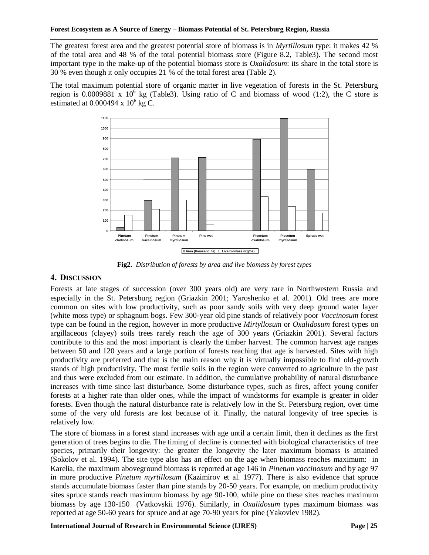The greatest forest area and the greatest potential store of biomass is in *Myrtillosum* type: it makes 42 % of the total area and 48 % of the total potential biomass store (Figure 8.2, Table3). The second most important type in the make-up of the potential biomass store is *Oxalidosum*: its share in the total store is 30 % even though it only occupies 21 % of the total forest area (Table 2).

The total maximum potential store of organic matter in live vegetation of forests in the St. Petersburg region is 0.0009881 x  $10^6$  kg (Table3). Using ratio of C and biomass of wood (1:2), the C store is estimated at  $0.000494 \times 10^6$  kg C.



**Fig2.** *Distribution of forests by area and live biomass by forest types*

## **4. DISCUSSION**

Forests at late stages of succession (over 300 years old) are very rare in Northwestern Russia and especially in the St. Petersburg region (Griazkin 2001; Yaroshenko et al. 2001). Old trees are more common on sites with low productivity, such as poor sandy soils with very deep ground water layer (white moss type) or sphagnum bogs. Few 300-year old pine stands of relatively poor *Vaccinosum* forest type can be found in the region, however in more productive *Mirtyllosum* or *Oxalidosum* forest types on argillaceous (clayey) soils trees rarely reach the age of 300 years (Griazkin 2001). Several factors contribute to this and the most important is clearly the timber harvest. The common harvest age ranges between 50 and 120 years and a large portion of forests reaching that age is harvested. Sites with high productivity are preferred and that is the main reason why it is virtually impossible to find old-growth stands of high productivity. The most fertile soils in the region were converted to agriculture in the past and thus were excluded from our estimate. In addition, the cumulative probability of natural disturbance increases with time since last disturbance. Some disturbance types, such as fires, affect young conifer forests at a higher rate than older ones, while the impact of windstorms for example is greater in older forests. Even though the natural disturbance rate is relatively low in the St. Petersburg region, over time some of the very old forests are lost because of it. Finally, the natural longevity of tree species is relatively low.

The store of biomass in a forest stand increases with age until a certain limit, then it declines as the first generation of trees begins to die. The timing of decline is connected with biological characteristics of tree species, primarily their longevity: the greater the longevity the later maximum biomass is attained (Sokolov et al. 1994). The site type also has an effect on the age when biomass reaches maximum: in Karelia, the maximum aboveground biomass is reported at age 146 in *Pinetum vaccinosum* and by age 97 in more productive *Pinetum myrtillosum* (Kazimirov et al. 1977). There is also evidence that spruce stands accumulate biomass faster than pine stands by 20-50 years. For example, on medium productivity sites spruce stands reach maximum biomass by age 90-100, while pine on these sites reaches maximum biomass by age 130-150 (Vatkovskii 1976). Similarly, in *Oxalidosum* types maximum biomass was reported at age 50-60 years for spruce and at age 70-90 years for pine (Yakovlev 1982).

**International Journal of Research in Environmental Science (IJRES) Page | 25**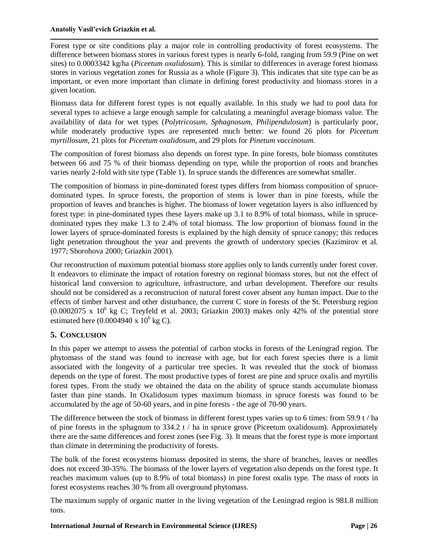Forest type or site conditions play a major role in controlling productivity of forest ecosystems. The difference between biomass stores in various forest types is nearly 6-fold, ranging from 59.9 (Pine on wet sites) to 0.0003342 kg/ha (*Piceetum oxalidosum*). This is similar to differences in average forest biomass stores in various vegetation zones for Russia as a whole (Figure 3). This indicates that site type can be as important, or even more important than climate in defining forest productivity and biomass stores in a given location.

Biomass data for different forest types is not equally available. In this study we had to pool data for several types to achieve a large enough sample for calculating a meaningful average biomass value. The availability of data for wet types (*Polytricosum, Sphagnosum, Philipendulosum*) is particularly poor, while moderately productive types are represented much better: we found 26 plots for *Piceetum* m*yrtillosum*, 21 plots for *Piceetum oxalidosum*, and 29 plots for *Pinetum vaccinosum.*

The composition of forest biomass also depends on forest type. In pine forests, bole biomass constitutes between 66 and 75 % of their biomass depending on type, while the proportion of roots and branches varies nearly 2-fold with site type (Table 1). In spruce stands the differences are somewhat smaller.

The composition of biomass in pine-dominated forest types differs from biomass composition of sprucedominated types. In spruce forests, the proportion of stems is lower than in pine forests, while the proportion of leaves and branches is higher. The biomass of lower vegetation layers is also influenced by forest type: in pine-dominated types these layers make up 3.1 to 8.9% of total biomass, while in sprucedominated types they make 1.3 to 2.4% of total biomass. The low proportion of biomass found in the lower layers of spruce-dominated forests is explained by the high density of spruce canopy; this reduces light penetration throughout the year and prevents the growth of understory species (Kazimirov et al. 1977; Shorohova 2000; Griazkin 2001).

Our reconstruction of maximum potential biomass store applies only to lands currently under forest cover. It endeavors to eliminate the impact of rotation forestry on regional biomass stores, but not the effect of historical land conversion to agriculture, infrastructure, and urban development. Therefore our results should not be considered as a reconstruction of natural forest cover absent any human impact. Due to the effects of timber harvest and other disturbance, the current C store in forests of the St. Petersburg region  $(0.0002075 \times 10^6 \text{ kg C};$  Treyfeld et al. 2003; Griazkin 2003) makes only 42% of the potential store estimated here  $(0.0004940 \times 10^6 \text{ kg C})$ .

# **5. CONCLUSION**

In this paper we attempt to assess the potential of carbon stocks in forests of the Leningrad region. The phytomass of the stand was found to increase with age, but for each forest species there is a limit associated with the longevity of a particular tree species. It was revealed that the stock of biomass depends on the type of forest. The most productive types of forest are pine and spruce oxalis and myrtilis forest types. From the study we obtained the data on the ability of spruce stands accumulate biomass faster than pine stands. In Oxalidosum types maximum biomass in spruce forests was found to be accumulated by the age of 50-60 years, and in pine forests - the age of 70-90 years.

The difference between the stock of biomass in different forest types varies up to 6 times: from 59.9 t / ha of pine forests in the sphagnum to  $334.2$  t / ha in spruce grove (Piceetum oxalidosum). Approximately there are the same differences and forest zones (see Fig. 3). It means that the forest type is more important than climate in determining the productivity of forests.

The bulk of the forest ecosystems biomass deposited in stems, the share of branches, leaves or needles does not exceed 30-35%. The biomass of the lower layers of vegetation also depends on the forest type. It reaches maximum values (up to 8.9% of total biomass) in pine forest oxalis type. The mass of roots in forest ecosystems reaches 30 % from all overground phytomass.

The maximum supply of organic matter in the living vegetation of the Leningrad region is 981.8 million tons.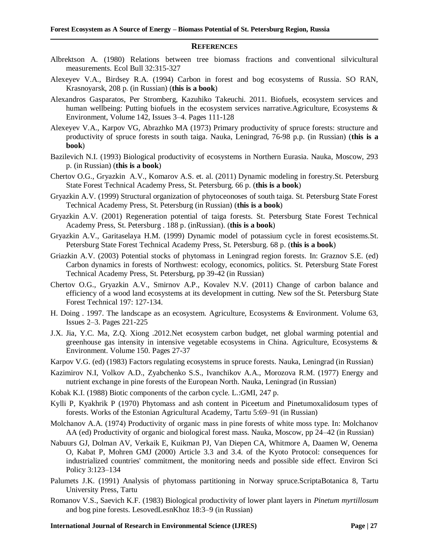#### **REFERENCES**

- Albrektson A. (1980) Relations between tree biomass fractions and conventional silvicultural measurements. Ecol Bull 32:315-327
- Alexeyev V.A., Birdsey R.A. (1994) Carbon in forest and bog ecosystems of Russia. SO RAN, Krasnoyarsk, 208 p. (in Russian) (**this is a book**)
- Alexandros Gasparatos, Per Stromberg, Kazuhiko Takeuchi. 2011. Biofuels, ecosystem services and human wellbeing: Putting biofuels in the ecosystem services narrative.Agriculture, Ecosystems & Environment, Volume 142, Issues 3–4. Pages 111-128
- Alexeyev V.A., Karpov VG, Abrazhko MA (1973) Primary productivity of spruce forests: structure and productivity of spruce forests in south taiga. Nauka, Leningrad, 76-98 p.p. (in Russian) (**this is a book**)
- Bazilevich N.I. (1993) Biological productivity of ecosystems in Northern Eurasia. Nauka, Moscow, 293 p. (in Russian) (**this is a book**)
- Chertov O.G., Gryazkin A.V., Komarov A.S. et. al. (2011) Dynamic modeling in forestry.St. Petersburg State Forest Technical Academy Press, St. Petersburg. 66 p. (**this is a book**)
- Gryazkin A.V. (1999) Structural organization of phytoceonoses of south taiga. St. Petersburg State Forest Technical Academy Press, St. Petersburg (in Russian) (**this is a book**)
- Gryazkin A.V. (2001) Regeneration potential of taiga forests. St. Petersburg State Forest Technical Academy Press, St. Petersburg . 188 p. (inRussian). (**this is a book**)
- Gryazkin A.V., Garitaselaya H.M. (1999) Dynamic model of potassium cycle in forest ecosistems.St. Petersburg State Forest Technical Academy Press, St. Petersburg. 68 p. (**this is a book**)
- Griazkin A.V. (2003) Potential stocks of phytomass in Leningrad region forests. In: Graznov S.E. (ed) Carbon dynamics in forests of Northwest: ecology, economics, politics. St. Petersburg State Forest Technical Academy Press, St. Petersburg, pp 39-42 (in Russian)
- Chertov O.G., Gryazkin A.V., Smirnov A.P., Kovalev N.V. (2011) Change of carbon balance and efficiency of a wood land ecosystems at its development in cutting. New sof the St. Petersburg State Forest Technical 197: 127-134.
- H. Doing . 1997. The landscape as an ecosystem. Agriculture, Ecosystems & Environment. Volume 63, Issues 2–3. Pages 221-225
- J.X. Jia, Y.C. Ma, Z.Q. Xiong .2012.Net ecosystem carbon budget, net global warming potential and greenhouse gas intensity in intensive vegetable ecosystems in China. Agriculture, Ecosystems & Environment. Volume 150. Pages 27-37
- Karpov V.G. (ed) (1983) Factors regulating ecosystems in spruce forests. Nauka, Leningrad (in Russian)
- Kazimirov N.I, Volkov A.D., Zyabchenko S.S., Ivanchikov A.A., Morozova R.M. (1977) Energy and nutrient exchange in pine forests of the European North. Nauka, Leningrad (in Russian)
- Kobak K.I. (1988) Biotic components of the carbon cycle. L.:GMI, 247 p.
- Kylli P, Kyakhrik P (1970) Phytomass and ash content in Piceetum and Pinetumoxalidosum types of forests. Works of the Estonian Agricultural Academy, Tartu 5:69–91 (in Russian)
- Molchanov A.A. (1974) Productivity of organic mass in pine forests of white moss type. In: Molchanov AA (ed) Productivity of organic and biological forest mass. Nauka, Moscow, pp 24–42 (in Russian)
- Nabuurs GJ, Dolman AV, Verkaik E, Kuikman PJ, Van Diepen CA, Whitmore A, Daamen W, Oenema O, Kabat P, Mohren GMJ (2000) Article 3.3 and 3.4. of the Kyoto Protocol: consequences for industrialized countries' commitment, the monitoring needs and possible side effect. Environ Sci Policy 3:123–134
- Palumets J.K. (1991) Analysis of phytomass partitioning in Norway spruce.ScriptaBotanica 8, Tartu University Press, Tartu
- Romanov V.S., Saevich K.F. (1983) Biological productivity of lower plant layers in *Pinetum myrtillosum* and bog pine forests. LesovedLesnKhoz 18:3–9 (in Russian)